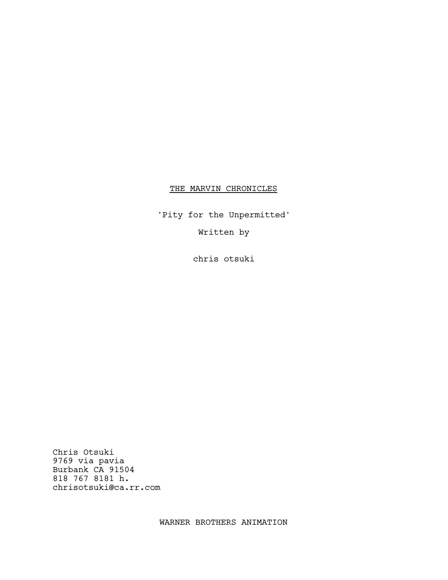## THE MARVIN CHRONICLES

'Pity for the Unpermitted'

Written by

chris otsuki

Chris Otsuki 9769 via pavia Burbank CA 91504 818 767 8181 h. chrisotsuki@ca.rr.com

WARNER BROTHERS ANIMATION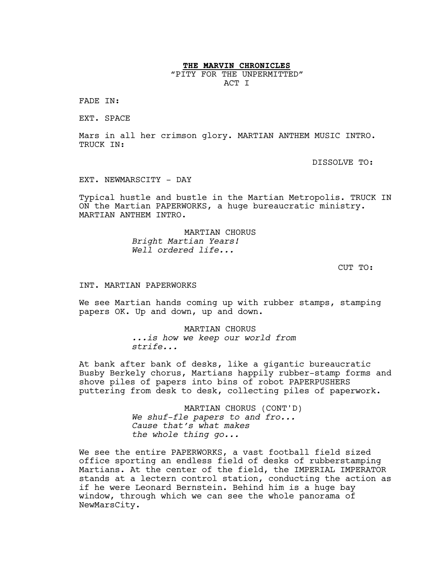**THE MARVIN CHRONICLES**

"PITY FOR THE UNPERMITTED" ACT I

FADE IN:

EXT. SPACE

Mars in all her crimson glory. MARTIAN ANTHEM MUSIC INTRO. TRUCK IN:

DISSOLVE TO:

EXT. NEWMARSCITY - DAY

Typical hustle and bustle in the Martian Metropolis. TRUCK IN ON the Martian PAPERWORKS, a huge bureaucratic ministry. MARTIAN ANTHEM INTRO.

> MARTIAN CHORUS *Bright Martian Years! Well ordered life...*

> > CUT TO:

INT. MARTIAN PAPERWORKS

We see Martian hands coming up with rubber stamps, stamping papers OK. Up and down, up and down.

> MARTIAN CHORUS *...is how we keep our world from strife...*

At bank after bank of desks, like a gigantic bureaucratic Busby Berkely chorus, Martians happily rubber-stamp forms and shove piles of papers into bins of robot PAPERPUSHERS puttering from desk to desk, collecting piles of paperwork.

> MARTIAN CHORUS (CONT'D) *We shuf-fle papers to and fro... Cause that's what makes the whole thing go...*

We see the entire PAPERWORKS, a vast football field sized office sporting an endless field of desks of rubberstamping Martians. At the center of the field, the IMPERIAL IMPERATOR stands at a lectern control station, conducting the action as if he were Leonard Bernstein. Behind him is a huge bay window, through which we can see the whole panorama of NewMarsCity.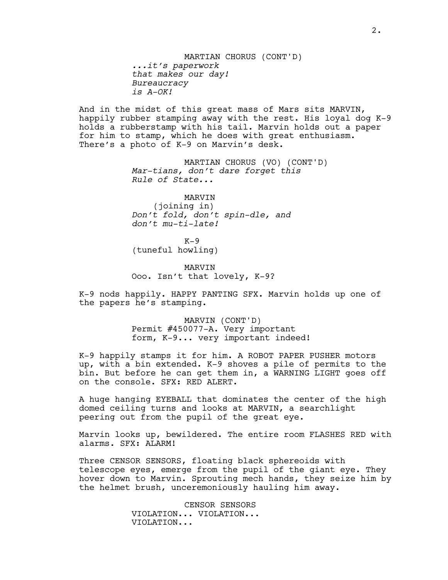MARTIAN CHORUS (CONT'D) *...it's paperwork that makes our day! Bureaucracy is A-OK!*

And in the midst of this great mass of Mars sits MARVIN, happily rubber stamping away with the rest. His loyal dog K-9 holds a rubberstamp with his tail. Marvin holds out a paper for him to stamp, which he does with great enthusiasm. There's a photo of K-9 on Marvin's desk.

> MARTIAN CHORUS (VO) (CONT'D) *Mar-tians, don't dare forget this Rule of State...*

MARVIN (joining in) *Don't fold, don't spin-dle, and don't mu-ti-late!*

 $K-9$ (tuneful howling)

MARVIN Ooo. Isn't that lovely, K-9?

K-9 nods happily. HAPPY PANTING SFX. Marvin holds up one of the papers he's stamping.

> MARVIN (CONT'D) Permit #450077-A. Very important form, K-9... very important indeed!

K-9 happily stamps it for him. A ROBOT PAPER PUSHER motors up, with a bin extended. K-9 shoves a pile of permits to the bin. But before he can get them in, a WARNING LIGHT goes off on the console. SFX: RED ALERT.

A huge hanging EYEBALL that dominates the center of the high domed ceiling turns and looks at MARVIN, a searchlight peering out from the pupil of the great eye.

Marvin looks up, bewildered. The entire room FLASHES RED with alarms. SFX: ALARM!

Three CENSOR SENSORS, floating black sphereoids with telescope eyes, emerge from the pupil of the giant eye. They hover down to Marvin. Sprouting mech hands, they seize him by the helmet brush, unceremoniously hauling him away.

> CENSOR SENSORS VIOLATION... VIOLATION... VIOLATION...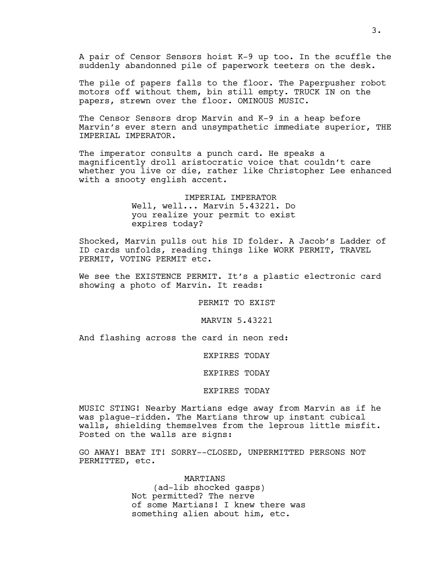A pair of Censor Sensors hoist K-9 up too. In the scuffle the suddenly abandonned pile of paperwork teeters on the desk.

The pile of papers falls to the floor. The Paperpusher robot motors off without them, bin still empty. TRUCK IN on the papers, strewn over the floor. OMINOUS MUSIC.

The Censor Sensors drop Marvin and K-9 in a heap before Marvin's ever stern and unsympathetic immediate superior, THE IMPERIAL IMPERATOR.

The imperator consults a punch card. He speaks a magnificently droll aristocratic voice that couldn't care whether you live or die, rather like Christopher Lee enhanced with a snooty english accent.

> IMPERIAL IMPERATOR Well, well... Marvin 5.43221. Do you realize your permit to exist expires today?

Shocked, Marvin pulls out his ID folder. A Jacob's Ladder of ID cards unfolds, reading things like WORK PERMIT, TRAVEL PERMIT, VOTING PERMIT etc.

We see the EXISTENCE PERMIT. It's a plastic electronic card showing a photo of Marvin. It reads:

PERMIT TO EXIST

MARVIN 5.43221

And flashing across the card in neon red:

EXPIRES TODAY

EXPIRES TODAY

## EXPIRES TODAY

MUSIC STING! Nearby Martians edge away from Marvin as if he was plague-ridden. The Martians throw up instant cubical walls, shielding themselves from the leprous little misfit. Posted on the walls are signs:

GO AWAY! BEAT IT! SORRY--CLOSED, UNPERMITTED PERSONS NOT PERMITTED, etc.

> MARTIANS (ad-lib shocked gasps) Not permitted? The nerve of some Martians! I knew there was something alien about him, etc.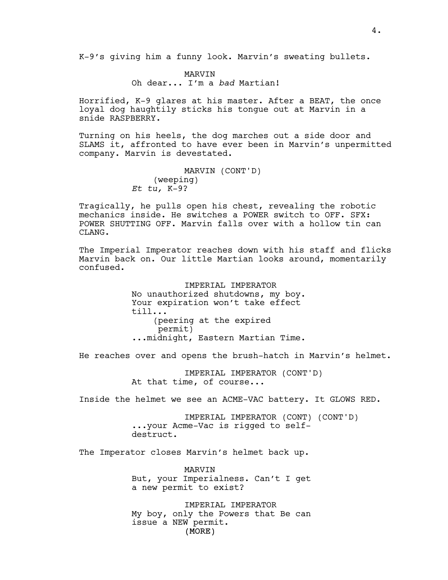K-9's giving him a funny look. Marvin's sweating bullets.

MARVIN Oh dear... I'm a *bad* Martian!

Horrified, K-9 glares at his master. After a BEAT, the once loyal dog haughtily sticks his tongue out at Marvin in a snide RASPBERRY.

Turning on his heels, the dog marches out a side door and SLAMS it, affronted to have ever been in Marvin's unpermitted company. Marvin is devestated.

> MARVIN (CONT'D) (weeping) *Et tu,* K-9?

Tragically, he pulls open his chest, revealing the robotic mechanics inside. He switches a POWER switch to OFF. SFX: POWER SHUTTING OFF. Marvin falls over with a hollow tin can CLANG.

The Imperial Imperator reaches down with his staff and flicks Marvin back on. Our little Martian looks around, momentarily confused.

> IMPERIAL IMPERATOR No unauthorized shutdowns, my boy. Your expiration won't take effect till... (peering at the expired permit) ...midnight, Eastern Martian Time.

He reaches over and opens the brush-hatch in Marvin's helmet.

IMPERIAL IMPERATOR (CONT'D) At that time, of course...

Inside the helmet we see an ACME-VAC battery. It GLOWS RED.

IMPERIAL IMPERATOR (CONT) (CONT'D) ...your Acme-Vac is rigged to selfdestruct.

The Imperator closes Marvin's helmet back up.

MARVIN But, your Imperialness. Can't I get a new permit to exist?

(MORE) IMPERIAL IMPERATOR My boy, only the Powers that Be can issue a NEW permit.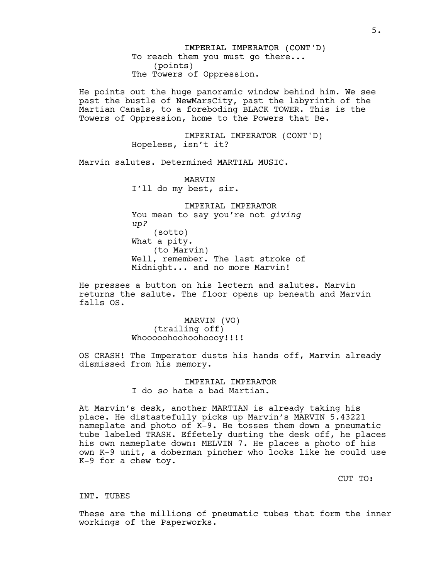IMPERIAL IMPERATOR (CONT'D) To reach them you must go there... (points) The Towers of Oppression.

He points out the huge panoramic window behind him. We see past the bustle of NewMarsCity, past the labyrinth of the Martian Canals, to a foreboding BLACK TOWER. This is the Towers of Oppression, home to the Powers that Be.

> IMPERIAL IMPERATOR (CONT'D) Hopeless, isn't it?

Marvin salutes. Determined MARTIAL MUSIC.

MARVIN I'll do my best, sir.

IMPERIAL IMPERATOR You mean to say you're not *giving up?* (sotto) What a pity. (to Marvin) Well, remember. The last stroke of Midnight... and no more Marvin!

He presses a button on his lectern and salutes. Marvin returns the salute. The floor opens up beneath and Marvin falls OS.

> MARVIN (VO) (trailing off) Whooooohoohoohoooy!!!!

OS CRASH! The Imperator dusts his hands off, Marvin already dismissed from his memory.

> IMPERIAL IMPERATOR I do *so* hate a bad Martian.

At Marvin's desk, another MARTIAN is already taking his place. He distastefully picks up Marvin's MARVIN 5.43221 nameplate and photo of K-9. He tosses them down a pneumatic tube labeled TRASH. Effetely dusting the desk off, he places his own nameplate down: MELVIN 7. He places a photo of his own K-9 unit, a doberman pincher who looks like he could use K-9 for a chew toy.

CUT TO:

INT. TUBES

These are the millions of pneumatic tubes that form the inner workings of the Paperworks.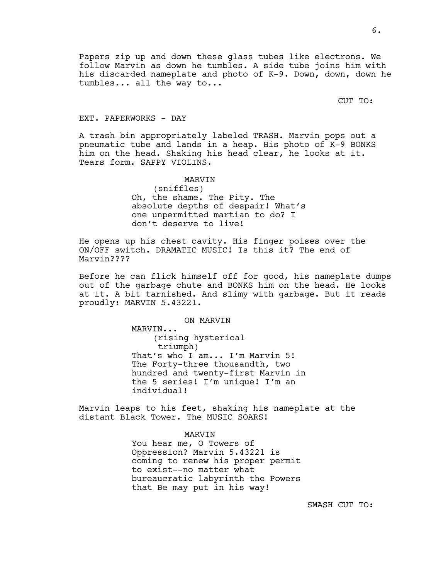Papers zip up and down these glass tubes like electrons. We follow Marvin as down he tumbles. A side tube joins him with his discarded nameplate and photo of K-9. Down, down, down he tumbles... all the way to...

CUT TO:

#### EXT. PAPERWORKS - DAY

A trash bin appropriately labeled TRASH. Marvin pops out a pneumatic tube and lands in a heap. His photo of K-9 BONKS him on the head. Shaking his head clear, he looks at it. Tears form. SAPPY VIOLINS.

> MARVIN (sniffles) Oh, the shame. The Pity. The absolute depths of despair! What's one unpermitted martian to do? I don't deserve to live!

He opens up his chest cavity. His finger poises over the ON/OFF switch. DRAMATIC MUSIC! Is this it? The end of Marvin????

Before he can flick himself off for good, his nameplate dumps out of the garbage chute and BONKS him on the head. He looks at it. A bit tarnished. And slimy with garbage. But it reads proudly: MARVIN 5.43221.

ON MARVIN

MARVIN... (rising hysterical triumph) That's who I am... I'm Marvin 5! The Forty-three thousandth, two hundred and twenty-first Marvin in the 5 series! I'm unique! I'm an individual!

Marvin leaps to his feet, shaking his nameplate at the distant Black Tower. The MUSIC SOARS!

### MARVIN

You hear me, O Towers of Oppression? Marvin 5.43221 is coming to renew his proper permit to exist--no matter what bureaucratic labyrinth the Powers that Be may put in his way!

SMASH CUT TO: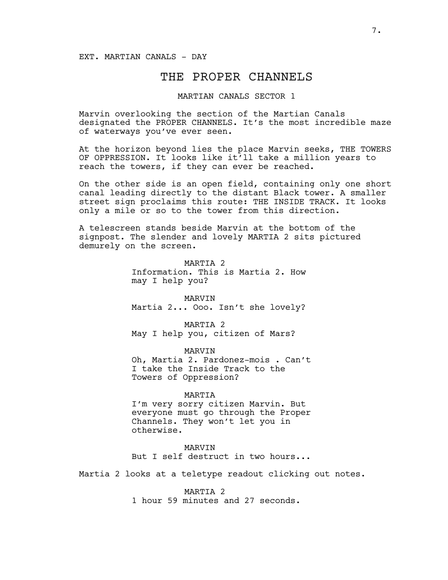### EXT. MARTIAN CANALS - DAY

## THE PROPER CHANNELS

## MARTIAN CANALS SECTOR 1

Marvin overlooking the section of the Martian Canals designated the PROPER CHANNELS. It's the most incredible maze of waterways you've ever seen.

At the horizon beyond lies the place Marvin seeks, THE TOWERS OF OPPRESSION. It looks like it'll take a million years to reach the towers, if they can ever be reached.

On the other side is an open field, containing only one short canal leading directly to the distant Black tower. A smaller street sign proclaims this route: THE INSIDE TRACK. It looks only a mile or so to the tower from this direction.

A telescreen stands beside Marvin at the bottom of the signpost. The slender and lovely MARTIA 2 sits pictured demurely on the screen.

> MARTIA<sub>2</sub> Information. This is Martia 2. How may I help you?

> MARVIN Martia 2... Ooo. Isn't she lovely?

MARTIA 2 May I help you, citizen of Mars?

MARVIN Oh, Martia 2. Pardonez-mois . Can't I take the Inside Track to the Towers of Oppression?

#### MARTIA

I'm very sorry citizen Marvin. But everyone must go through the Proper Channels. They won't let you in otherwise.

#### MARVIN

But I self destruct in two hours...

Martia 2 looks at a teletype readout clicking out notes.

MARTIA 2

1 hour 59 minutes and 27 seconds.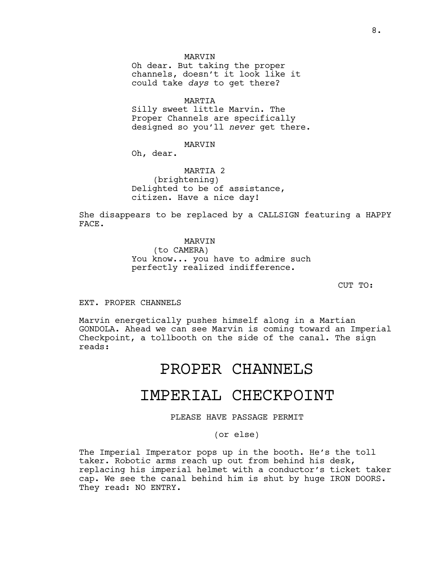MARVIN

Oh dear. But taking the proper channels, doesn't it look like it could take *days* to get there?

MARTIA

Silly sweet little Marvin. The Proper Channels are specifically designed so you'll *never* get there.

MARVIN

Oh, dear.

MARTIA 2 (brightening) Delighted to be of assistance, citizen. Have a nice day!

She disappears to be replaced by a CALLSIGN featuring a HAPPY FACE.

> MARVIN (to CAMERA) You know... you have to admire such perfectly realized indifference.

> > CUT TO:

EXT. PROPER CHANNELS

Marvin energetically pushes himself along in a Martian GONDOLA. Ahead we can see Marvin is coming toward an Imperial Checkpoint, a tollbooth on the side of the canal. The sign reads:

# PROPER CHANNELS

# IMPERIAL CHECKPOINT

PLEASE HAVE PASSAGE PERMIT

(or else)

The Imperial Imperator pops up in the booth. He's the toll taker. Robotic arms reach up out from behind his desk, replacing his imperial helmet with a conductor's ticket taker cap. We see the canal behind him is shut by huge IRON DOORS. They read: NO ENTRY.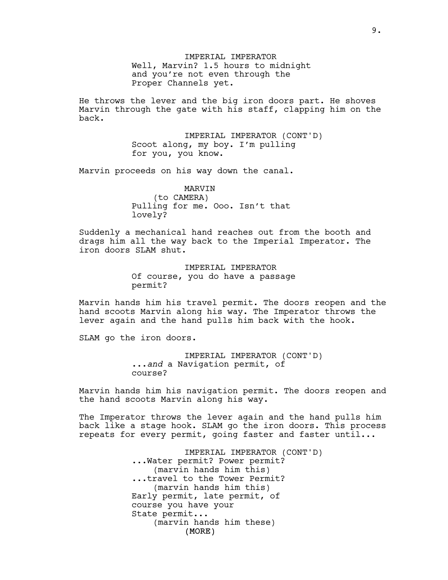IMPERIAL IMPERATOR Well, Marvin? 1.5 hours to midnight and you're not even through the Proper Channels yet.

He throws the lever and the big iron doors part. He shoves Marvin through the gate with his staff, clapping him on the back.

> IMPERIAL IMPERATOR (CONT'D) Scoot along, my boy. I'm pulling for you, you know.

Marvin proceeds on his way down the canal.

MARVIN (to CAMERA) Pulling for me. Ooo. Isn't that lovely?

Suddenly a mechanical hand reaches out from the booth and drags him all the way back to the Imperial Imperator. The iron doors SLAM shut.

> IMPERIAL IMPERATOR Of course, you do have a passage permit?

Marvin hands him his travel permit. The doors reopen and the hand scoots Marvin along his way. The Imperator throws the lever again and the hand pulls him back with the hook.

SLAM go the iron doors.

IMPERIAL IMPERATOR (CONT'D) ...*and* a Navigation permit, of course?

Marvin hands him his navigation permit. The doors reopen and the hand scoots Marvin along his way.

The Imperator throws the lever again and the hand pulls him back like a stage hook. SLAM go the iron doors. This process repeats for every permit, going faster and faster until...

> (MORE) IMPERIAL IMPERATOR (CONT'D) ...Water permit? Power permit? (marvin hands him this) ...travel to the Tower Permit? (marvin hands him this) Early permit, late permit, of course you have your State permit... (marvin hands him these)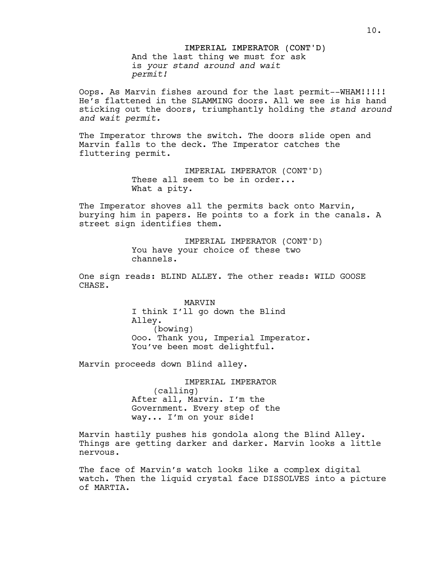IMPERIAL IMPERATOR (CONT'D) And the last thing we must for ask is *your stand around and wait permit!*

Oops. As Marvin fishes around for the last permit--WHAM!!!!! He's flattened in the SLAMMING doors. All we see is his hand sticking out the doors, triumphantly holding the *stand around and wait permit.*

The Imperator throws the switch. The doors slide open and Marvin falls to the deck. The Imperator catches the fluttering permit.

> IMPERIAL IMPERATOR (CONT'D) These all seem to be in order... What a pity.

The Imperator shoves all the permits back onto Marvin, burying him in papers. He points to a fork in the canals. A street sign identifies them.

> IMPERIAL IMPERATOR (CONT'D) You have your choice of these two channels.

One sign reads: BLIND ALLEY. The other reads: WILD GOOSE CHASE.

> MARVIN I think I'll go down the Blind Alley. (bowing) Ooo. Thank you, Imperial Imperator. You've been most delightful.

Marvin proceeds down Blind alley.

IMPERIAL IMPERATOR (calling) After all, Marvin. I'm the Government. Every step of the way... I'm on your side!

Marvin hastily pushes his gondola along the Blind Alley. Things are getting darker and darker. Marvin looks a little nervous.

The face of Marvin's watch looks like a complex digital watch. Then the liquid crystal face DISSOLVES into a picture of MARTIA.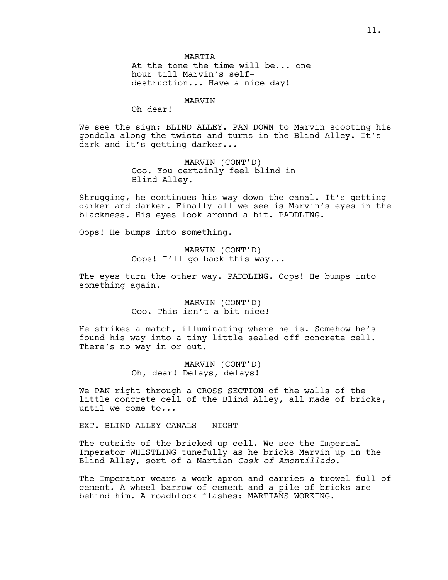MARTIA At the tone the time will be... one hour till Marvin's selfdestruction... Have a nice day!

MARVIN

Oh dear!

We see the sign: BLIND ALLEY. PAN DOWN to Marvin scooting his gondola along the twists and turns in the Blind Alley. It's dark and it's getting darker...

> MARVIN (CONT'D) Ooo. You certainly feel blind in Blind Alley.

Shrugging, he continues his way down the canal. It's getting darker and darker. Finally all we see is Marvin's eyes in the blackness. His eyes look around a bit. PADDLING.

Oops! He bumps into something.

MARVIN (CONT'D) Oops! I'll go back this way...

The eyes turn the other way. PADDLING. Oops! He bumps into something again.

> MARVIN (CONT'D) Ooo. This isn't a bit nice!

He strikes a match, illuminating where he is. Somehow he's found his way into a tiny little sealed off concrete cell. There's no way in or out.

> MARVIN (CONT'D) Oh, dear! Delays, delays!

We PAN right through a CROSS SECTION of the walls of the little concrete cell of the Blind Alley, all made of bricks, until we come to...

EXT. BLIND ALLEY CANALS - NIGHT

The outside of the bricked up cell. We see the Imperial Imperator WHISTLING tunefully as he bricks Marvin up in the Blind Alley, sort of a Martian *Cask of Amontillado.*

The Imperator wears a work apron and carries a trowel full of cement. A wheel barrow of cement and a pile of bricks are behind him. A roadblock flashes: MARTIANS WORKING.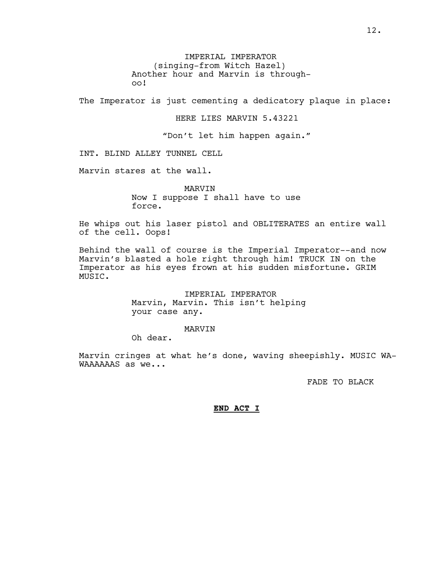IMPERIAL IMPERATOR (singing-from Witch Hazel) Another hour and Marvin is throughoo!

The Imperator is just cementing a dedicatory plaque in place:

#### HERE LIES MARVIN 5.43221

"Don't let him happen again."

INT. BLIND ALLEY TUNNEL CELL

Marvin stares at the wall.

MARVIN Now I suppose I shall have to use force.

He whips out his laser pistol and OBLITERATES an entire wall of the cell. Oops!

Behind the wall of course is the Imperial Imperator--and now Marvin's blasted a hole right through him! TRUCK IN on the Imperator as his eyes frown at his sudden misfortune. GRIM MUSIC.

> IMPERIAL IMPERATOR Marvin, Marvin. This isn't helping your case any.

#### MARVIN

Oh dear.

Marvin cringes at what he's done, waving sheepishly. MUSIC WA-WAAAAAAS as we...

FADE TO BLACK

## **END ACT I**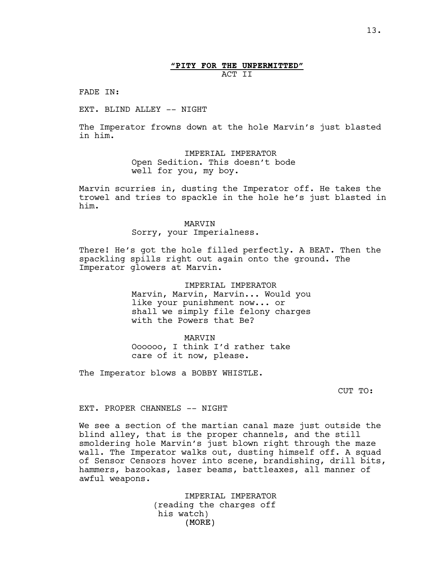## **"PITY FOR THE UNPERMITTED"** ACT II

FADE IN:

EXT. BLIND ALLEY -- NIGHT

The Imperator frowns down at the hole Marvin's just blasted in him.

> IMPERIAL IMPERATOR Open Sedition. This doesn't bode well for you, my boy.

Marvin scurries in, dusting the Imperator off. He takes the trowel and tries to spackle in the hole he's just blasted in him.

#### MARVIN

Sorry, your Imperialness.

There! He's got the hole filled perfectly. A BEAT. Then the spackling spills right out again onto the ground. The Imperator glowers at Marvin.

> IMPERIAL IMPERATOR Marvin, Marvin, Marvin... Would you like your punishment now... or shall we simply file felony charges with the Powers that Be?

MARVIN Oooooo, I think I'd rather take care of it now, please.

The Imperator blows a BOBBY WHISTLE.

CUT TO:

EXT. PROPER CHANNELS -- NIGHT

We see a section of the martian canal maze just outside the blind alley, that is the proper channels, and the still smoldering hole Marvin's just blown right through the maze wall. The Imperator walks out, dusting himself off. A squad of Sensor Censors hover into scene, brandishing, drill bits, hammers, bazookas, laser beams, battleaxes, all manner of awful weapons.

> (MORE) IMPERIAL IMPERATOR (reading the charges off his watch)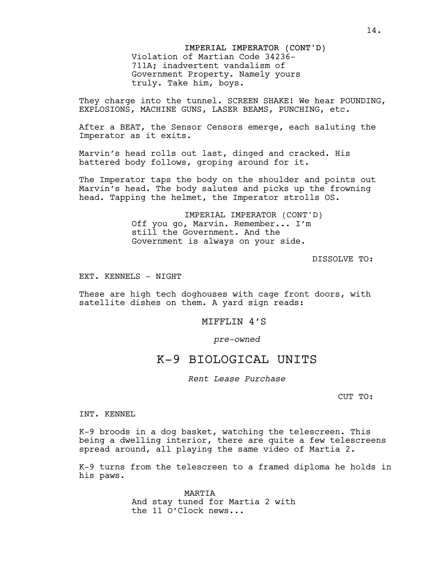IMPERIAL IMPERATOR (CONT'D) Violation of Martian Code 34236- 711A; inadvertent vandalism of Government Property. Namely yours truly. Take him, boys.

They charge into the tunnel. SCREEN SHAKE! We hear POUNDING, EXPLOSIONS, MACHINE GUNS, LASER BEAMS, PUNCHING, etc.

After a BEAT, the Sensor Censors emerge, each saluting the Imperator as it exits.

Marvin's head rolls out last, dinged and cracked. His battered body follows, groping around for it.

The Imperator taps the body on the shoulder and points out Marvin's head. The body salutes and picks up the frowning head. Tapping the helmet, the Imperator strolls OS.

> IMPERIAL IMPERATOR (CONT'D) Off you go, Marvin. Remember... I'm still the Government. And the Government is always on your side.

> > DISSOLVE TO:

EXT. KENNELS - NIGHT

These are high tech doghouses with cage front doors, with satellite dishes on them. A yard sign reads:

## MIFFLIN 4'S

*pre-owned*

## K-9 BIOLOGICAL UNITS

*Rent Lease Purchase*

CUT TO:

INT. KENNEL

K-9 broods in a dog basket, watching the telescreen. This being a dwelling interior, there are quite a few telescreens spread around, all playing the same video of Martia 2.

K-9 turns from the telescreen to a framed diploma he holds in his paws.

> MARTIA And stay tuned for Martia 2 with the 11 O'Clock news...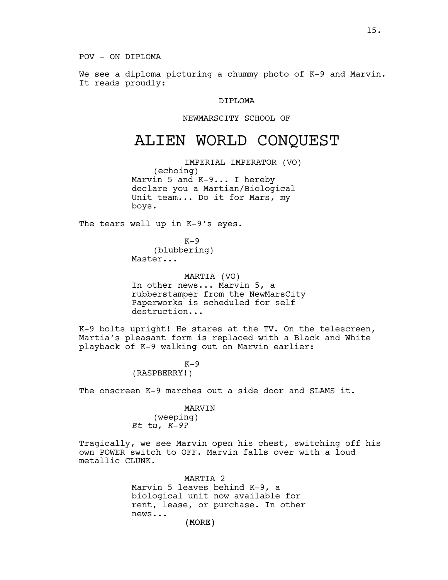POV - ON DIPLOMA

We see a diploma picturing a chummy photo of K-9 and Marvin. It reads proudly:

## DIPLOMA

#### NEWMARSCITY SCHOOL OF

# ALIEN WORLD CONQUEST

IMPERIAL IMPERATOR (VO) (echoing) Marvin 5 and K-9... I hereby declare you a Martian/Biological Unit team... Do it for Mars, my boys.

The tears well up in K-9's eyes.

 $K-9$ (blubbering) Master...

MARTIA (VO) In other news... Marvin 5, a rubberstamper from the NewMarsCity Paperworks is scheduled for self destruction...

K-9 bolts upright! He stares at the TV. On the telescreen, Martia's pleasant form is replaced with a Black and White playback of K-9 walking out on Marvin earlier:

> $K-9$ (RASPBERRY!)

The onscreen K-9 marches out a side door and SLAMS it.

#### MARVIN

(weeping) *Et tu, K-9?*

Tragically, we see Marvin open his chest, switching off his own POWER switch to OFF. Marvin falls over with a loud metallic CLUNK.

> (MORE) MARTIA 2 Marvin 5 leaves behind K-9, a biological unit now available for rent, lease, or purchase. In other news...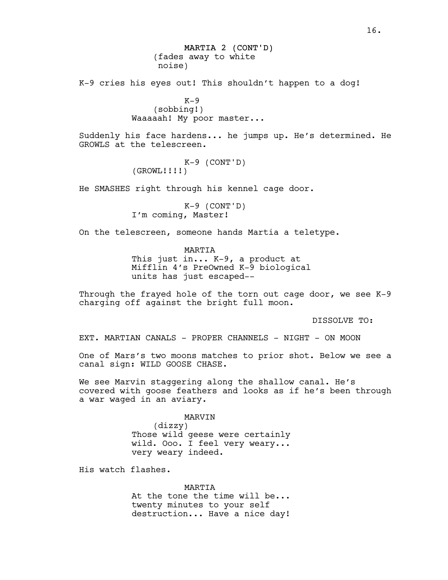MARTIA 2 (CONT'D) (fades away to white noise)

K-9 cries his eyes out! This shouldn't happen to a dog!

 $K-9$ (sobbing!) Waaaaah! My poor master...

Suddenly his face hardens... he jumps up. He's determined. He GROWLS at the telescreen.

> K-9 (CONT'D) (GROWL!!!!)

He SMASHES right through his kennel cage door.

K-9 (CONT'D) I'm coming, Master!

On the telescreen, someone hands Martia a teletype.

MARTIA This just in... K-9, a product at Mifflin 4's PreOwned K-9 biological units has just escaped--

Through the frayed hole of the torn out cage door, we see K-9 charging off against the bright full moon.

DISSOLVE TO:

EXT. MARTIAN CANALS - PROPER CHANNELS - NIGHT - ON MOON

One of Mars's two moons matches to prior shot. Below we see a canal sign: WILD GOOSE CHASE.

We see Marvin staggering along the shallow canal. He's covered with goose feathers and looks as if he's been through a war waged in an aviary.

> MARVIN (dizzy) Those wild geese were certainly wild. Ooo. I feel very weary... very weary indeed.

His watch flashes.

MARTIA At the tone the time will be... twenty minutes to your self destruction... Have a nice day!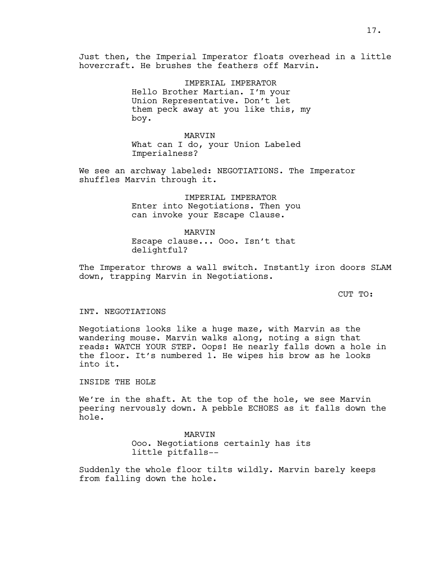Just then, the Imperial Imperator floats overhead in a little hovercraft. He brushes the feathers off Marvin.

> IMPERIAL IMPERATOR Hello Brother Martian. I'm your Union Representative. Don't let them peck away at you like this, my boy.

MARVIN What can I do, your Union Labeled Imperialness?

We see an archway labeled: NEGOTIATIONS. The Imperator shuffles Marvin through it.

> IMPERIAL IMPERATOR Enter into Negotiations. Then you can invoke your Escape Clause.

MARVIN Escape clause... Ooo. Isn't that delightful?

The Imperator throws a wall switch. Instantly iron doors SLAM down, trapping Marvin in Negotiations.

CUT TO:

#### INT. NEGOTIATIONS

Negotiations looks like a huge maze, with Marvin as the wandering mouse. Marvin walks along, noting a sign that reads: WATCH YOUR STEP. Oops! He nearly falls down a hole in the floor. It's numbered 1. He wipes his brow as he looks into it.

INSIDE THE HOLE

We're in the shaft. At the top of the hole, we see Marvin peering nervously down. A pebble ECHOES as it falls down the hole.

> MARVIN Ooo. Negotiations certainly has its little pitfalls--

Suddenly the whole floor tilts wildly. Marvin barely keeps from falling down the hole.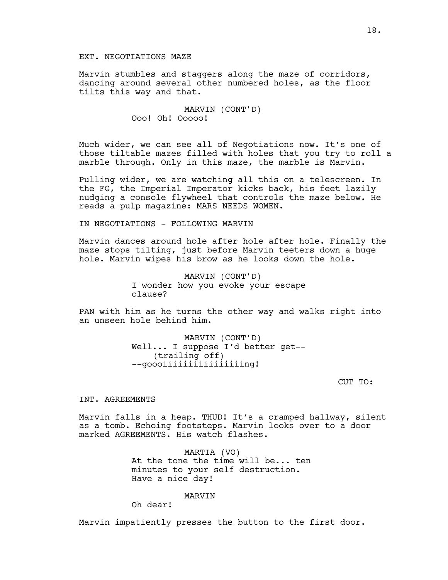## EXT. NEGOTIATIONS MAZE

Marvin stumbles and staggers along the maze of corridors, dancing around several other numbered holes, as the floor tilts this way and that.

> MARVIN (CONT'D) Ooo! Oh! Ooooo!

Much wider, we can see all of Negotiations now. It's one of those tiltable mazes filled with holes that you try to roll a marble through. Only in this maze, the marble is Marvin.

Pulling wider, we are watching all this on a telescreen. In the FG, the Imperial Imperator kicks back, his feet lazily nudging a console flywheel that controls the maze below. He reads a pulp magazine: MARS NEEDS WOMEN.

IN NEGOTIATIONS - FOLLOWING MARVIN

Marvin dances around hole after hole after hole. Finally the maze stops tilting, just before Marvin teeters down a huge hole. Marvin wipes his brow as he looks down the hole.

> MARVIN (CONT'D) I wonder how you evoke your escape clause?

PAN with him as he turns the other way and walks right into an unseen hole behind him.

> MARVIN (CONT'D) Well... I suppose I'd better get-- (trailing off) --goooiiiiiiiiiiiiiiiing!

> > CUT TO:

#### INT. AGREEMENTS

Marvin falls in a heap. THUD! It's a cramped hallway, silent as a tomb. Echoing footsteps. Marvin looks over to a door marked AGREEMENTS. His watch flashes.

> MARTIA (VO) At the tone the time will be... ten minutes to your self destruction. Have a nice day!

> > MARVIN

Oh dear!

Marvin impatiently presses the button to the first door.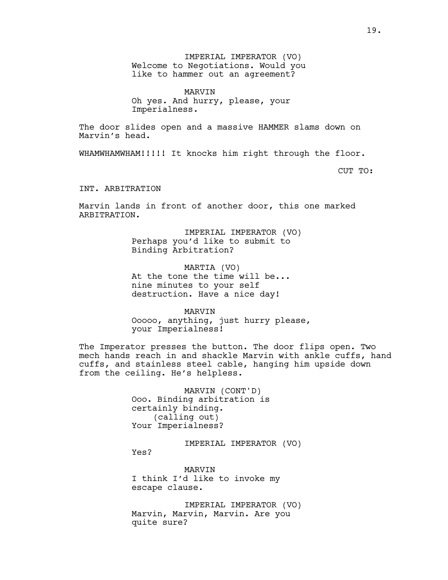IMPERIAL IMPERATOR (VO) Welcome to Negotiations. Would you like to hammer out an agreement?

MARVIN Oh yes. And hurry, please, your Imperialness.

The door slides open and a massive HAMMER slams down on Marvin's head.

WHAMWHAMWHAM!!!!! It knocks him right through the floor.

CUT TO:

INT. ARBITRATION

Marvin lands in front of another door, this one marked ARBITRATION.

> IMPERIAL IMPERATOR (VO) Perhaps you'd like to submit to Binding Arbitration?

MARTIA (VO) At the tone the time will be... nine minutes to your self destruction. Have a nice day!

MARVIN Ooooo, anything, just hurry please, your Imperialness!

The Imperator presses the button. The door flips open. Two mech hands reach in and shackle Marvin with ankle cuffs, hand cuffs, and stainless steel cable, hanging him upside down from the ceiling. He's helpless.

> MARVIN (CONT'D) Ooo. Binding arbitration is certainly binding. (calling out) Your Imperialness?

> > IMPERIAL IMPERATOR (VO)

Yes?

MARVIN I think I'd like to invoke my escape clause.

IMPERIAL IMPERATOR (VO) Marvin, Marvin, Marvin. Are you quite sure?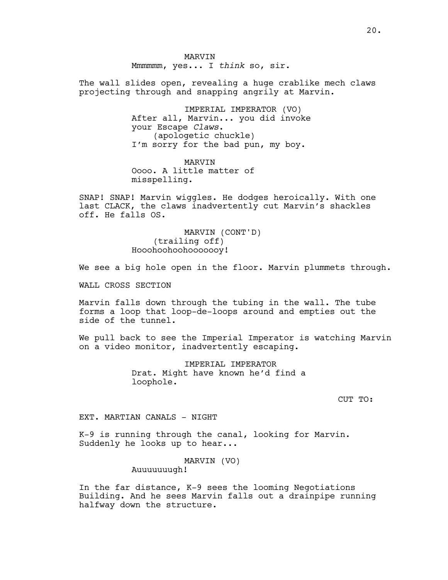MARVIN Mmmmmm, yes... I *think* so, sir.

The wall slides open, revealing a huge crablike mech claws projecting through and snapping angrily at Marvin.

> IMPERIAL IMPERATOR (VO) After all, Marvin... you did invoke your Escape *Claws*. (apologetic chuckle) I'm sorry for the bad pun, my boy.

MARVIN Oooo. A little matter of misspelling.

SNAP! SNAP! Marvin wiggles. He dodges heroically. With one last CLACK, the claws inadvertently cut Marvin's shackles off. He falls OS.

> MARVIN (CONT'D) (trailing off) Hooohoohoohooooooy!

We see a big hole open in the floor. Marvin plummets through.

WALL CROSS SECTION

Marvin falls down through the tubing in the wall. The tube forms a loop that loop-de-loops around and empties out the side of the tunnel.

We pull back to see the Imperial Imperator is watching Marvin on a video monitor, inadvertently escaping.

> IMPERIAL IMPERATOR Drat. Might have known he'd find a loophole.

> > CUT TO:

### EXT. MARTIAN CANALS - NIGHT

K-9 is running through the canal, looking for Marvin. Suddenly he looks up to hear...

MARVIN (VO)

Auuuuuuugh!

In the far distance, K-9 sees the looming Negotiations Building. And he sees Marvin falls out a drainpipe running halfway down the structure.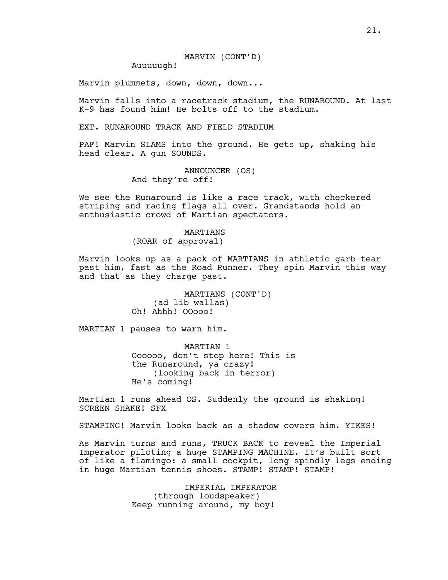Auuuuugh!

Marvin plummets, down, down, down...

Marvin falls into a racetrack stadium, the RUNAROUND. At last K-9 has found him! He bolts off to the stadium.

EXT. RUNAROUND TRACK AND FIELD STADIUM

PAF! Marvin SLAMS into the ground. He gets up, shaking his head clear. A gun SOUNDS.

> ANNOUNCER (OS) And they're off!

We see the Runaround is like a race track, with checkered striping and racing flags all over. Grandstands hold an enthusiastic crowd of Martian spectators.

> MARTIANS (ROAR of approval)

Marvin looks up as a pack of MARTIANS in athletic garb tear past him, fast as the Road Runner. They spin Marvin this way and that as they charge past.

> MARTIANS (CONT'D) (ad lib wallas) Oh! Ahhh! OOooo!

MARTIAN 1 pauses to warn him.

MARTIAN 1 Oooooo, don't stop here! This is the Runaround, ya crazy! (looking back in terror) He's coming!

Martian 1 runs ahead OS. Suddenly the ground is shaking! SCREEN SHAKE! SFX

STAMPING! Marvin looks back as a shadow covers him. YIKES!

As Marvin turns and runs, TRUCK BACK to reveal the Imperial Imperator piloting a huge STAMPING MACHINE. It's built sort of like a flamingo: a small cockpit, long spindly legs ending in huge Martian tennis shoes. STAMP! STAMP! STAMP!

> IMPERIAL IMPERATOR (through loudspeaker) Keep running around, my boy!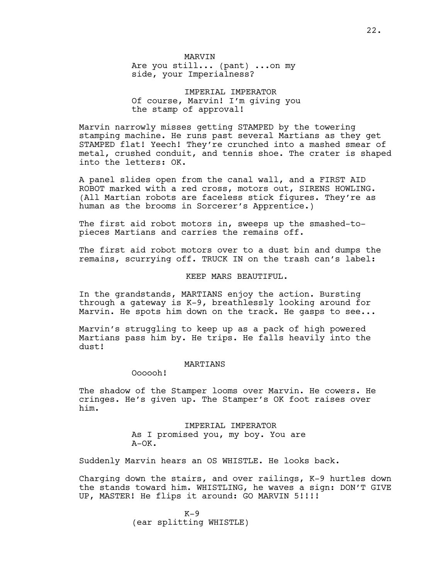MARVIN Are you still... (pant) ...on my side, your Imperialness?

IMPERIAL IMPERATOR Of course, Marvin! I'm giving you the stamp of approval!

Marvin narrowly misses getting STAMPED by the towering stamping machine. He runs past several Martians as they get STAMPED flat! Yeech! They're crunched into a mashed smear of metal, crushed conduit, and tennis shoe. The crater is shaped into the letters: OK.

A panel slides open from the canal wall, and a FIRST AID ROBOT marked with a red cross, motors out, SIRENS HOWLING. (All Martian robots are faceless stick figures. They're as human as the brooms in Sorcerer's Apprentice.)

The first aid robot motors in, sweeps up the smashed-topieces Martians and carries the remains off.

The first aid robot motors over to a dust bin and dumps the remains, scurrying off. TRUCK IN on the trash can's label:

KEEP MARS BEAUTIFUL.

In the grandstands, MARTIANS enjoy the action. Bursting through a gateway is K-9, breathlessly looking around for Marvin. He spots him down on the track. He gasps to see...

Marvin's struggling to keep up as a pack of high powered Martians pass him by. He trips. He falls heavily into the dust!

## MARTIANS

Oooooh!

The shadow of the Stamper looms over Marvin. He cowers. He cringes. He's given up. The Stamper's OK foot raises over him.

> IMPERIAL IMPERATOR As I promised you, my boy. You are A-OK.

Suddenly Marvin hears an OS WHISTLE. He looks back.

Charging down the stairs, and over railings, K-9 hurtles down the stands toward him. WHISTLING, he waves a sign: DON'T GIVE UP, MASTER! He flips it around: GO MARVIN 5!!!!

> $K-9$ (ear splitting WHISTLE)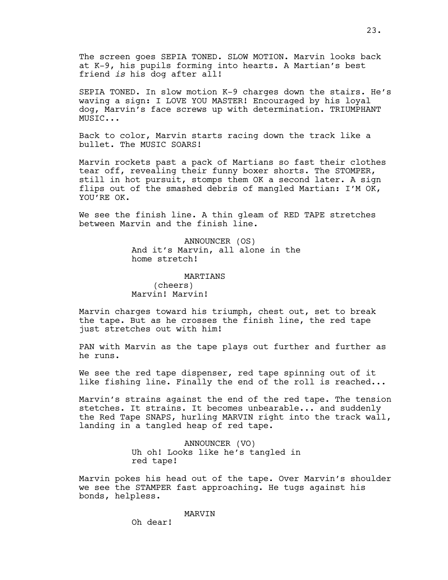The screen goes SEPIA TONED. SLOW MOTION. Marvin looks back at K-9, his pupils forming into hearts. A Martian's best friend *is* his dog after all!

SEPIA TONED. In slow motion K-9 charges down the stairs. He's waving a sign: I LOVE YOU MASTER! Encouraged by his loyal dog, Marvin's face screws up with determination. TRIUMPHANT MUSIC...

Back to color, Marvin starts racing down the track like a bullet. The MUSIC SOARS!

Marvin rockets past a pack of Martians so fast their clothes tear off, revealing their funny boxer shorts. The STOMPER, still in hot pursuit, stomps them OK a second later. A sign flips out of the smashed debris of mangled Martian: I'M OK, YOU'RE OK.

We see the finish line. A thin gleam of RED TAPE stretches between Marvin and the finish line.

> ANNOUNCER (OS) And it's Marvin, all alone in the home stretch!

MARTIANS (cheers) Marvin! Marvin!

Marvin charges toward his triumph, chest out, set to break the tape. But as he crosses the finish line, the red tape just stretches out with him!

PAN with Marvin as the tape plays out further and further as he runs.

We see the red tape dispenser, red tape spinning out of it like fishing line. Finally the end of the roll is reached...

Marvin's strains against the end of the red tape. The tension stetches. It strains. It becomes unbearable... and suddenly the Red Tape SNAPS, hurling MARVIN right into the track wall, landing in a tangled heap of red tape.

> ANNOUNCER (VO) Uh oh! Looks like he's tangled in red tape!

Marvin pokes his head out of the tape. Over Marvin's shoulder we see the STAMPER fast approaching. He tugs against his bonds, helpless.

MARVIN

Oh dear!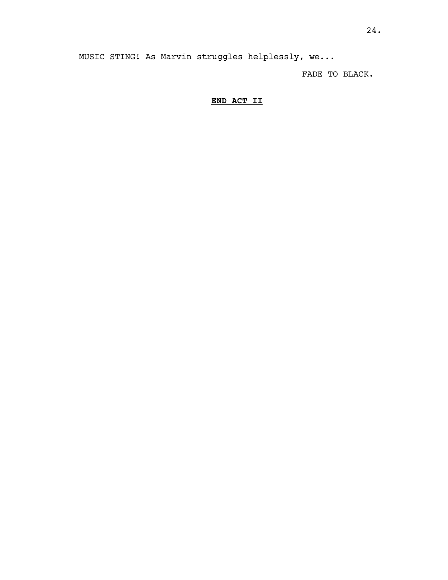MUSIC STING! As Marvin struggles helplessly, we...

FADE TO BLACK.

## **END ACT II**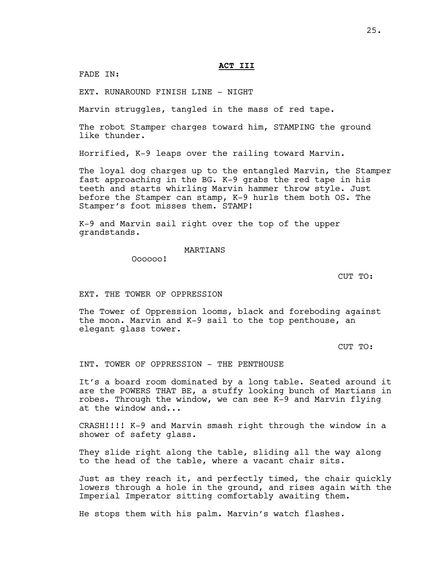FADE IN:

EXT. RUNAROUND FINISH LINE - NIGHT

Marvin struggles, tangled in the mass of red tape.

The robot Stamper charges toward him, STAMPING the ground like thunder.

Horrified, K-9 leaps over the railing toward Marvin.

The loyal dog charges up to the entangled Marvin, the Stamper fast approaching in the BG. K-9 grabs the red tape in his teeth and starts whirling Marvin hammer throw style. Just before the Stamper can stamp, K-9 hurls them both OS. The Stamper's foot misses them. STAMP!

K-9 and Marvin sail right over the top of the upper grandstands.

MARTIANS

Oooooo!

CUT TO:

## EXT. THE TOWER OF OPPRESSION

The Tower of Oppression looms, black and foreboding against the moon. Marvin and K-9 sail to the top penthouse, an elegant glass tower.

CUT TO:

INT. TOWER OF OPPRESSION - THE PENTHOUSE

It's a board room dominated by a long table. Seated around it are the POWERS THAT BE, a stuffy looking bunch of Martians in robes. Through the window, we can see K-9 and Marvin flying at the window and...

CRASH!!!! K-9 and Marvin smash right through the window in a shower of safety glass.

They slide right along the table, sliding all the way along to the head of the table, where a vacant chair sits.

Just as they reach it, and perfectly timed, the chair quickly lowers through a hole in the ground, and rises again with the Imperial Imperator sitting comfortably awaiting them.

He stops them with his palm. Marvin's watch flashes.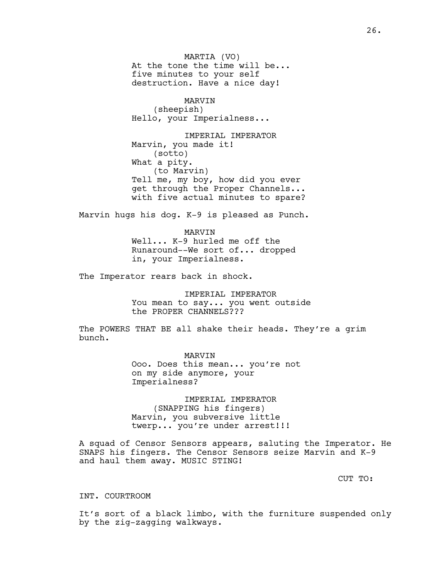MARTIA (VO) At the tone the time will be... five minutes to your self destruction. Have a nice day!

MARVIN (sheepish) Hello, your Imperialness...

IMPERIAL IMPERATOR Marvin, you made it! (sotto) What a pity. (to Marvin) Tell me, my boy, how did you ever get through the Proper Channels... with five actual minutes to spare?

Marvin hugs his dog. K-9 is pleased as Punch.

MARVIN Well... K-9 hurled me off the Runaround--We sort of... dropped in, your Imperialness.

The Imperator rears back in shock.

IMPERIAL IMPERATOR You mean to say... you went outside the PROPER CHANNELS???

The POWERS THAT BE all shake their heads. They're a grim bunch.

> MARVIN Ooo. Does this mean... you're not on my side anymore, your Imperialness?

IMPERIAL IMPERATOR (SNAPPING his fingers) Marvin, you subversive little twerp... you're under arrest!!!

A squad of Censor Sensors appears, saluting the Imperator. He SNAPS his fingers. The Censor Sensors seize Marvin and K-9 and haul them away. MUSIC STING!

CUT TO:

INT. COURTROOM

It's sort of a black limbo, with the furniture suspended only by the zig-zagging walkways.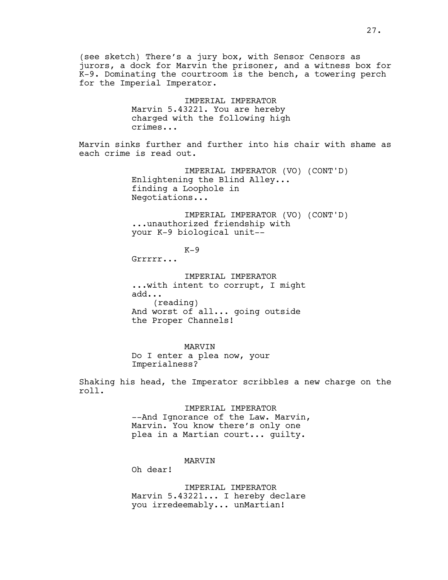(see sketch) There's a jury box, with Sensor Censors as jurors, a dock for Marvin the prisoner, and a witness box for K-9. Dominating the courtroom is the bench, a towering perch for the Imperial Imperator.

> IMPERIAL IMPERATOR Marvin 5.43221. You are hereby charged with the following high crimes...

Marvin sinks further and further into his chair with shame as each crime is read out.

> IMPERIAL IMPERATOR (VO) (CONT'D) Enlightening the Blind Alley... finding a Loophole in Negotiations...

> IMPERIAL IMPERATOR (VO) (CONT'D) ...unauthorized friendship with your K-9 biological unit--

> > $K-9$

Grrrrr...

IMPERIAL IMPERATOR ...with intent to corrupt, I might add... (reading) And worst of all... going outside the Proper Channels!

MARVIN Do I enter a plea now, your Imperialness?

Shaking his head, the Imperator scribbles a new charge on the roll.

> IMPERIAL IMPERATOR --And Ignorance of the Law. Marvin, Marvin. You know there's only one plea in a Martian court... guilty.

> > MARVIN

Oh dear!

IMPERIAL IMPERATOR Marvin 5.43221... I hereby declare you irredeemably... unMartian!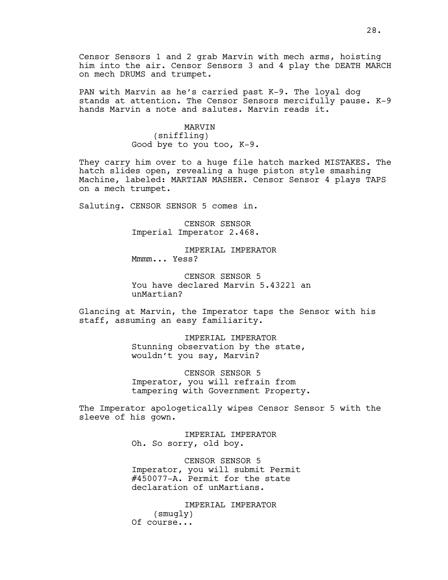Censor Sensors 1 and 2 grab Marvin with mech arms, hoisting him into the air. Censor Sensors 3 and 4 play the DEATH MARCH on mech DRUMS and trumpet.

PAN with Marvin as he's carried past K-9. The loyal dog stands at attention. The Censor Sensors mercifully pause. K-9 hands Marvin a note and salutes. Marvin reads it.

> MARVIN (sniffling) Good bye to you too, K-9.

They carry him over to a huge file hatch marked MISTAKES. The hatch slides open, revealing a huge piston style smashing Machine, labeled: MARTIAN MASHER. Censor Sensor 4 plays TAPS on a mech trumpet.

Saluting. CENSOR SENSOR 5 comes in.

CENSOR SENSOR Imperial Imperator 2.468.

IMPERIAL IMPERATOR Mmmm... Yess?

CENSOR SENSOR 5 You have declared Marvin 5.43221 an unMartian?

Glancing at Marvin, the Imperator taps the Sensor with his staff, assuming an easy familiarity.

> IMPERIAL IMPERATOR Stunning observation by the state, wouldn't you say, Marvin?

CENSOR SENSOR 5 Imperator, you will refrain from tampering with Government Property.

The Imperator apologetically wipes Censor Sensor 5 with the sleeve of his gown.

> IMPERIAL IMPERATOR Oh. So sorry, old boy.

CENSOR SENSOR 5 Imperator, you will submit Permit #450077-A. Permit for the state declaration of unMartians.

IMPERIAL IMPERATOR (smugly) Of course...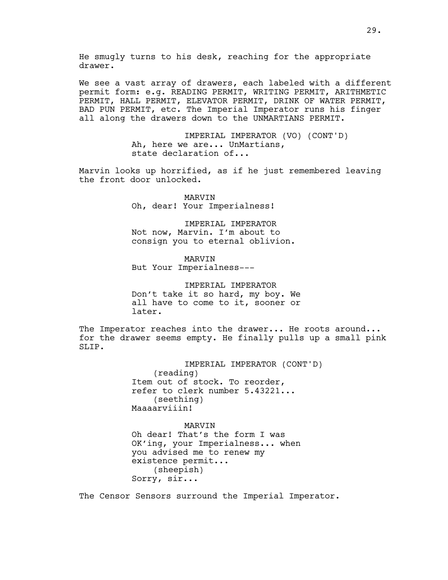We see a vast array of drawers, each labeled with a different permit form: e.g. READING PERMIT, WRITING PERMIT, ARITHMETIC PERMIT, HALL PERMIT, ELEVATOR PERMIT, DRINK OF WATER PERMIT, BAD PUN PERMIT, etc. The Imperial Imperator runs his finger all along the drawers down to the UNMARTIANS PERMIT.

> IMPERIAL IMPERATOR (VO) (CONT'D) Ah, here we are... UnMartians, state declaration of...

Marvin looks up horrified, as if he just remembered leaving the front door unlocked.

> MARVIN Oh, dear! Your Imperialness!

IMPERIAL IMPERATOR Not now, Marvin. I'm about to consign you to eternal oblivion.

MARVIN But Your Imperialness---

IMPERIAL IMPERATOR Don't take it so hard, my boy. We all have to come to it, sooner or later.

The Imperator reaches into the drawer... He roots around... for the drawer seems empty. He finally pulls up a small pink SLIP.

> IMPERIAL IMPERATOR (CONT'D) (reading) Item out of stock. To reorder, refer to clerk number 5.43221... (seething) Maaaarviiin!

MARVIN Oh dear! That's the form I was OK'ing, your Imperialness... when you advised me to renew my existence permit... (sheepish) Sorry, sir...

The Censor Sensors surround the Imperial Imperator.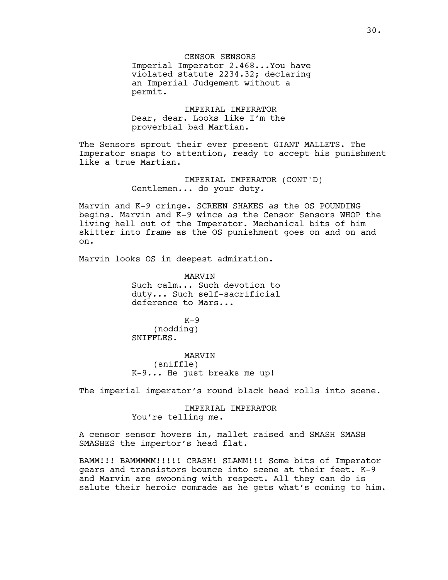CENSOR SENSORS Imperial Imperator 2.468...You have violated statute 2234.32; declaring an Imperial Judgement without a permit.

IMPERIAL IMPERATOR Dear, dear. Looks like I'm the proverbial bad Martian.

The Sensors sprout their ever present GIANT MALLETS. The Imperator snaps to attention, ready to accept his punishment like a true Martian.

> IMPERIAL IMPERATOR (CONT'D) Gentlemen... do your duty.

Marvin and K-9 cringe. SCREEN SHAKES as the OS POUNDING begins. Marvin and K-9 wince as the Censor Sensors WHOP the living hell out of the Imperator. Mechanical bits of him skitter into frame as the OS punishment goes on and on and on.

Marvin looks OS in deepest admiration.

MARVIN Such calm... Such devotion to duty... Such self-sacrificial deference to Mars...

 $K-9$ (nodding) SNIFFLES.

MARVIN (sniffle) K-9... He just breaks me up!

The imperial imperator's round black head rolls into scene.

IMPERIAL IMPERATOR You're telling me.

A censor sensor hovers in, mallet raised and SMASH SMASH SMASHES the impertor's head flat.

BAMM!!! BAMMMMM!!!!! CRASH! SLAMM!!! Some bits of Imperator gears and transistors bounce into scene at their feet. K-9 and Marvin are swooning with respect. All they can do is salute their heroic comrade as he gets what's coming to him.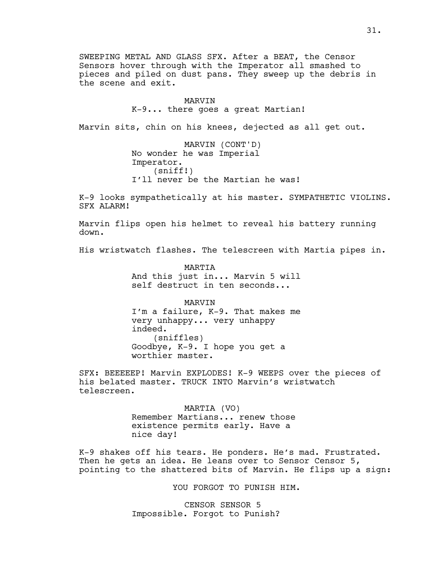SWEEPING METAL AND GLASS SFX. After a BEAT, the Censor Sensors hover through with the Imperator all smashed to pieces and piled on dust pans. They sweep up the debris in the scene and exit.

#### MARVIN

K-9... there goes a great Martian!

Marvin sits, chin on his knees, dejected as all get out.

MARVIN (CONT'D) No wonder he was Imperial Imperator. (sniff!) I'll never be the Martian he was!

K-9 looks sympathetically at his master. SYMPATHETIC VIOLINS. SFX ALARM!

Marvin flips open his helmet to reveal his battery running down.

His wristwatch flashes. The telescreen with Martia pipes in.

MARTIA And this just in... Marvin 5 will self destruct in ten seconds...

MARVIN I'm a failure, K-9. That makes me very unhappy... very unhappy indeed. (sniffles) Goodbye, K-9. I hope you get a worthier master.

SFX: BEEEEEP! Marvin EXPLODES! K-9 WEEPS over the pieces of his belated master. TRUCK INTO Marvin's wristwatch telescreen.

> MARTIA (VO) Remember Martians... renew those existence permits early. Have a nice day!

K-9 shakes off his tears. He ponders. He's mad. Frustrated. Then he gets an idea. He leans over to Sensor Censor 5, pointing to the shattered bits of Marvin. He flips up a sign:

YOU FORGOT TO PUNISH HIM.

CENSOR SENSOR 5 Impossible. Forgot to Punish?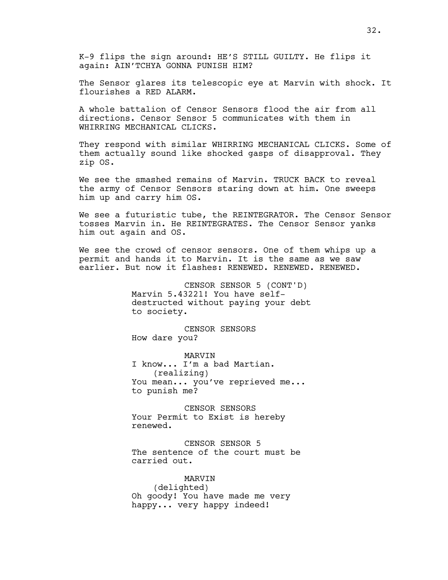K-9 flips the sign around: HE'S STILL GUILTY. He flips it again: AIN'TCHYA GONNA PUNISH HIM?

The Sensor glares its telescopic eye at Marvin with shock. It flourishes a RED ALARM.

A whole battalion of Censor Sensors flood the air from all directions. Censor Sensor 5 communicates with them in WHIRRING MECHANICAL CLICKS.

They respond with similar WHIRRING MECHANICAL CLICKS. Some of them actually sound like shocked gasps of disapproval. They zip OS.

We see the smashed remains of Marvin. TRUCK BACK to reveal the army of Censor Sensors staring down at him. One sweeps him up and carry him OS.

We see a futuristic tube, the REINTEGRATOR. The Censor Sensor tosses Marvin in. He REINTEGRATES. The Censor Sensor yanks him out again and OS.

We see the crowd of censor sensors. One of them whips up a permit and hands it to Marvin. It is the same as we saw earlier. But now it flashes: RENEWED. RENEWED. RENEWED.

> CENSOR SENSOR 5 (CONT'D) Marvin 5.43221! You have selfdestructed without paying your debt to society.

CENSOR SENSORS How dare you?

MARVIN I know... I'm a bad Martian. (realizing) You mean... you've reprieved me... to punish me?

CENSOR SENSORS Your Permit to Exist is hereby renewed.

CENSOR SENSOR 5 The sentence of the court must be carried out.

MARVIN (delighted) Oh goody! You have made me very happy... very happy indeed!